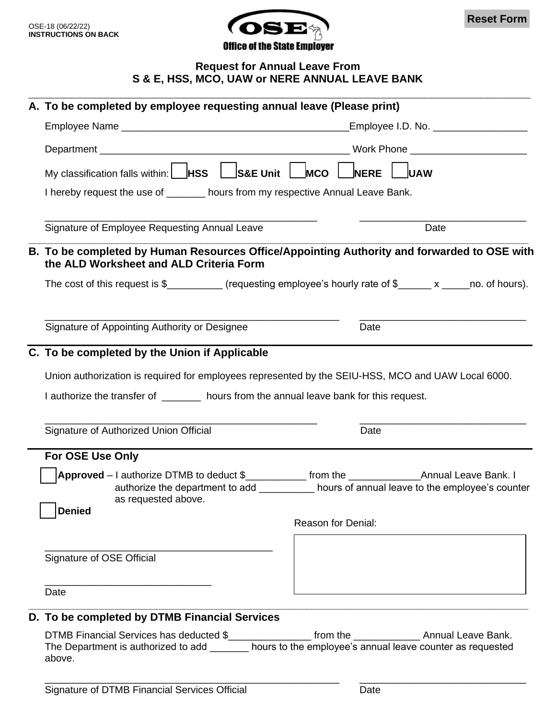

**Reset Form**

## **Request for Annual Leave From S & E, HSS, MCO, UAW or NERE ANNUAL LEAVE BANK**

|                                                                                       | A. To be completed by employee requesting annual leave (Please print)                                                                                                                                                      |                    |      |
|---------------------------------------------------------------------------------------|----------------------------------------------------------------------------------------------------------------------------------------------------------------------------------------------------------------------------|--------------------|------|
|                                                                                       |                                                                                                                                                                                                                            |                    |      |
|                                                                                       |                                                                                                                                                                                                                            |                    |      |
|                                                                                       |                                                                                                                                                                                                                            |                    |      |
|                                                                                       | My classification falls within:    HSS   S&E Unit   MCO  <br><b>NERE</b><br><b>IUAW</b>                                                                                                                                    |                    |      |
|                                                                                       | I hereby request the use of ______ hours from my respective Annual Leave Bank.                                                                                                                                             |                    |      |
|                                                                                       | Signature of Employee Requesting Annual Leave                                                                                                                                                                              |                    | Date |
|                                                                                       | B. To be completed by Human Resources Office/Appointing Authority and forwarded to OSE with<br>the ALD Worksheet and ALD Criteria Form                                                                                     |                    |      |
|                                                                                       | The cost of this request is $\frac{1}{2}$ [requesting employee's hourly rate of $\frac{1}{2}$ x ______ no. of hours).                                                                                                      |                    |      |
|                                                                                       | Signature of Appointing Authority or Designee                                                                                                                                                                              | Date               |      |
|                                                                                       | C. To be completed by the Union if Applicable                                                                                                                                                                              |                    |      |
|                                                                                       | Union authorization is required for employees represented by the SEIU-HSS, MCO and UAW Local 6000.                                                                                                                         |                    |      |
| I authorize the transfer of ______ hours from the annual leave bank for this request. |                                                                                                                                                                                                                            |                    |      |
|                                                                                       | Signature of Authorized Union Official                                                                                                                                                                                     | Date               |      |
|                                                                                       | For OSE Use Only                                                                                                                                                                                                           |                    |      |
|                                                                                       | authorize the department to add hours of annual leave to the employee's counter<br>as requested above.                                                                                                                     |                    |      |
|                                                                                       | <b>Denied</b>                                                                                                                                                                                                              | Reason for Denial: |      |
|                                                                                       | Signature of OSE Official                                                                                                                                                                                                  |                    |      |
|                                                                                       | Date                                                                                                                                                                                                                       |                    |      |
|                                                                                       | D. To be completed by DTMB Financial Services                                                                                                                                                                              |                    |      |
|                                                                                       | DTMB Financial Services has deducted \$_________________ from the ________________ Annual Leave Bank.<br>The Department is authorized to add _________ hours to the employee's annual leave counter as requested<br>above. |                    |      |

\_\_\_\_\_\_\_\_\_\_\_\_\_\_\_\_\_\_\_\_\_\_\_\_\_\_\_\_\_\_\_\_\_\_\_\_\_\_\_\_\_\_\_\_\_\_\_\_\_\_\_\_\_ \_\_\_\_\_\_\_\_\_\_\_\_\_\_\_\_\_\_\_\_\_\_\_\_\_\_\_\_\_\_